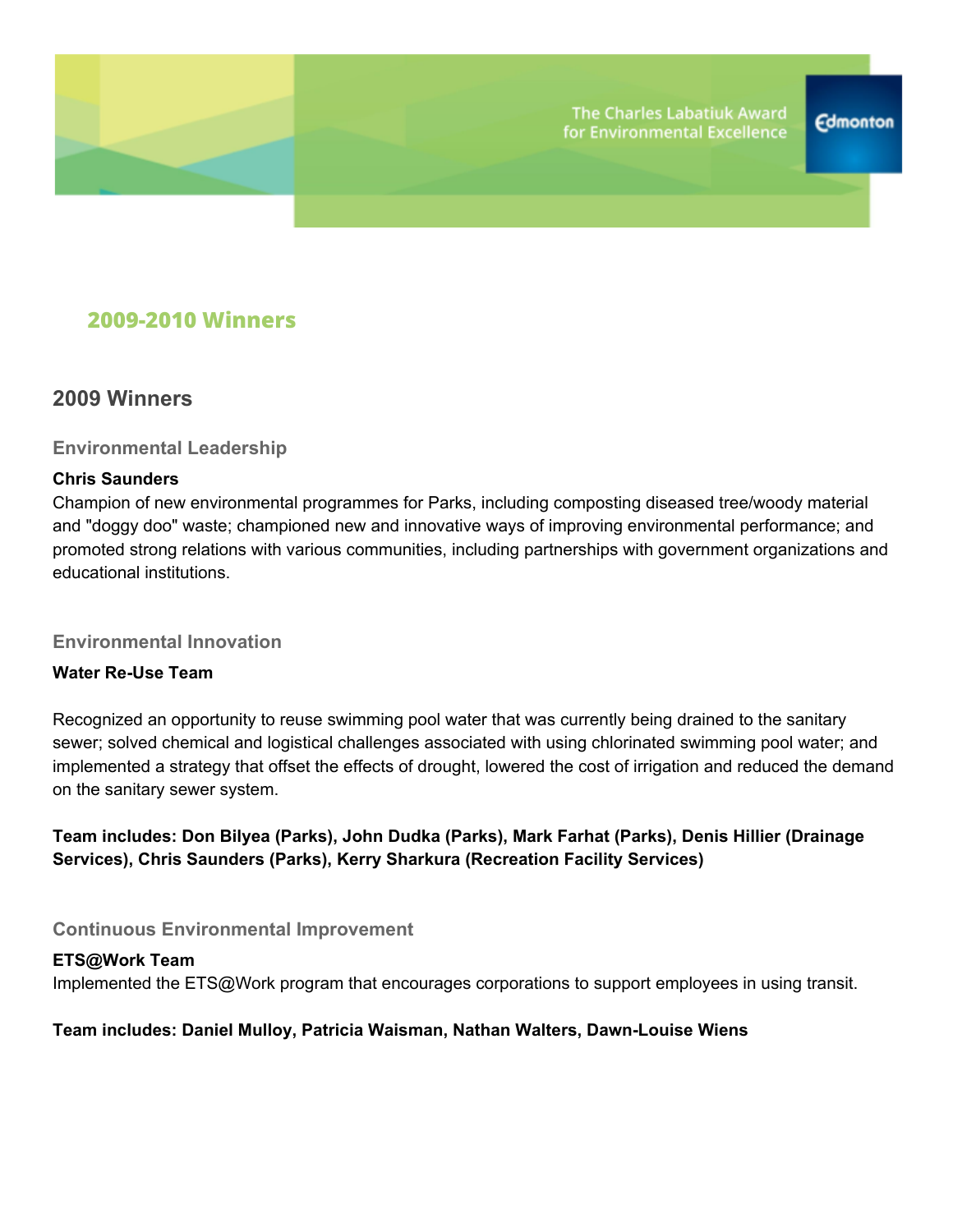

# **2009-2010 Winners**

## **2009 Winners**

### **Environmental Leadership**

### **Chris Saunders**

Champion of new environmental programmes for Parks, including composting diseased tree/woody material and "doggy doo" waste; championed new and innovative ways of improving environmental performance; and promoted strong relations with various communities, including partnerships with government organizations and educational institutions.

### **Environmental Innovation**

### **Water Re-Use Team**

Recognized an opportunity to reuse swimming pool water that was currently being drained to the sanitary sewer; solved chemical and logistical challenges associated with using chlorinated swimming pool water; and implemented a strategy that offset the effects of drought, lowered the cost of irrigation and reduced the demand on the sanitary sewer system.

**Team includes: Don Bilyea (Parks), John Dudka (Parks), Mark Farhat (Parks), Denis Hillier (Drainage Services), Chris Saunders (Parks), Kerry Sharkura (Recreation Facility Services)**

### **Continuous Environmental Improvement**

## **ETS@Work Team** Implemented the ETS@Work program that encourages corporations to support employees in using transit.

### **Team includes: Daniel Mulloy, Patricia Waisman, Nathan Walters, Dawn-Louise Wiens**